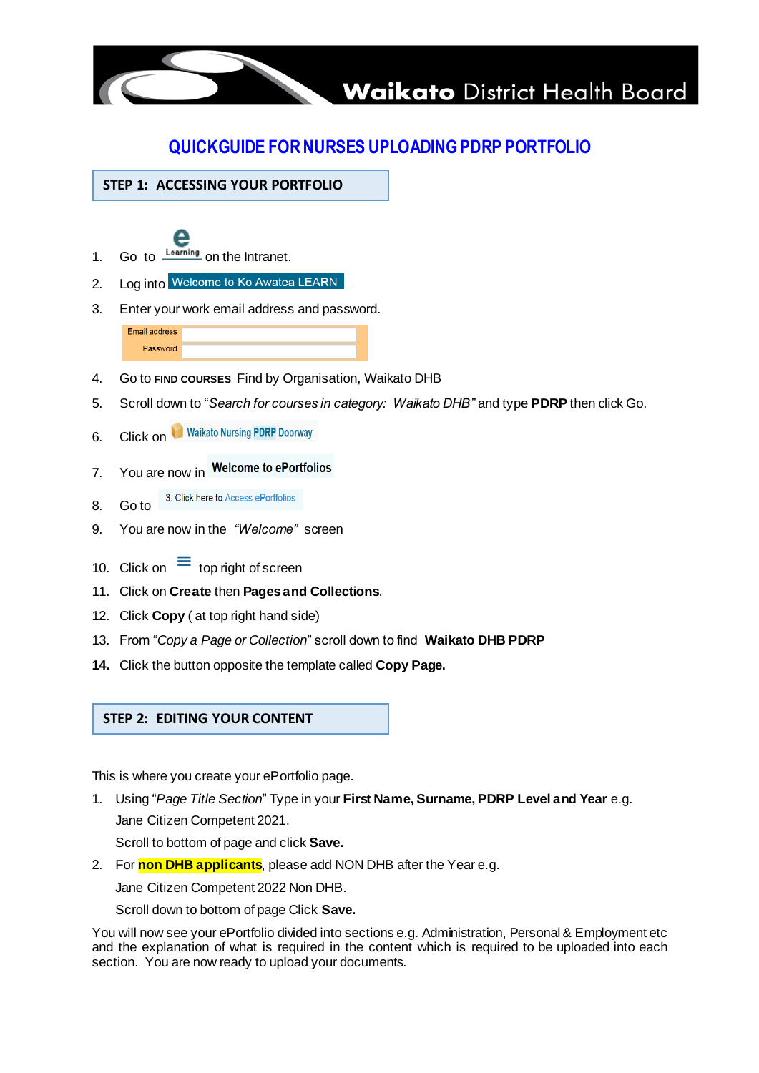

# **QUICKGUIDE FOR NURSES UPLOADING PDRP PORTFOLIO**

**STEP 1: ACCESSING YOUR PORTFOLIO**

- 1. Go to  $\frac{\text{Learning}}{\text{learning}}$  on the Intranet.
- 2. Log into Welcome to Ko Awatea LEARN
- 3. Enter your work email address and password.

Email address Password

- 4. Go to **FIND COURSES** Find by Organisation, Waikato DHB
- 5. Scroll down to "*Search for courses in category: Waikato DHB"* and type **PDRP** then click Go.
- 6. Click on Waikato Nursing PDRP Doorway
- 7. You are now in Welcome to ePortfolios
- 3. Click here to Access ePortfolios 8. Go to
- 9. You are now in the *"Welcome"* screen
- 10. Click on  $\equiv$  top right of screen
- 11. Click on **Create** then **Pages and Collections**.
- 12. Click **Copy** ( at top right hand side)
- 13. From "*Copy a Page or Collection*" scroll down to find **Waikato DHB PDRP**
- **14.** Click the button opposite the template called **Copy Page.**

## **STEP 2: EDITING YOUR CONTENT**

This is where you create your ePortfolio page.

1. Using "*Page Title Section*" Type in your **First Name, Surname, PDRP Level and Year** e.g. Jane Citizen Competent 2021.

Scroll to bottom of page and click **Save.**

2. For **non DHB applicants**, please add NON DHB after the Year e.g.

Jane Citizen Competent 2022 Non DHB.

Scroll down to bottom of page Click **Save.**

You will now see your ePortfolio divided into sections e.g. Administration, Personal & Employment etc and the explanation of what is required in the content which is required to be uploaded into each section. You are now ready to upload your documents.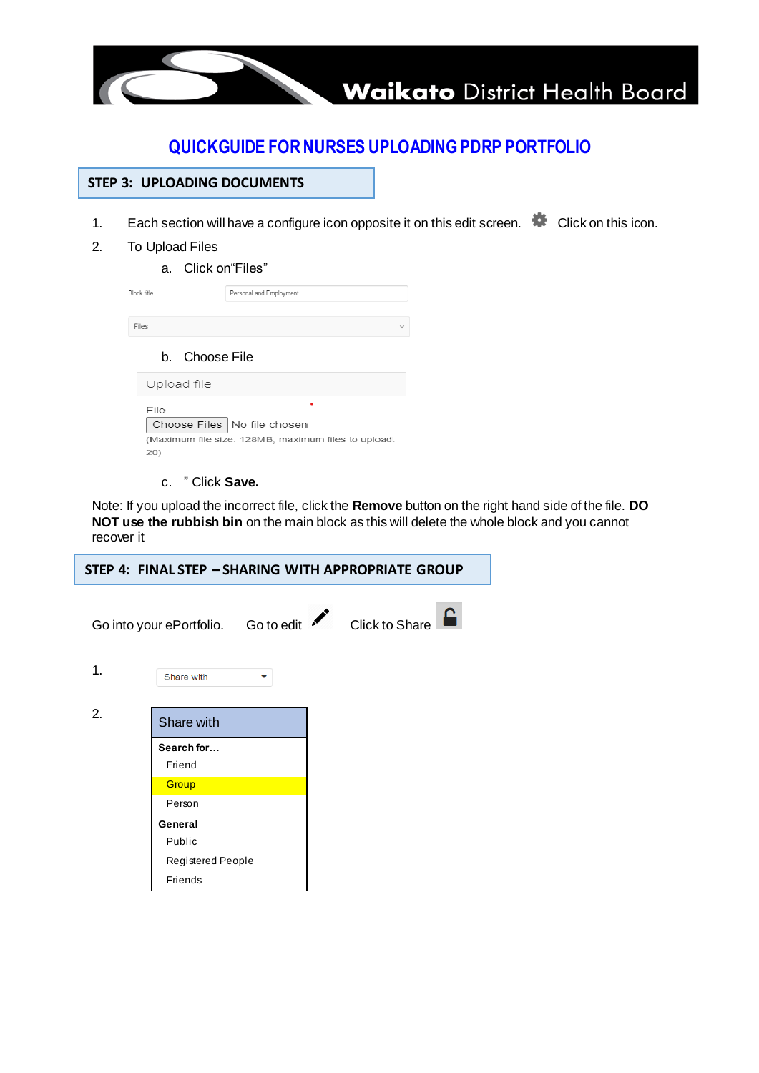

## **QUICKGUIDE FOR NURSES UPLOADING PDRP PORTFOLIO**

- 1. Each section will have a configure icon opposite it on this edit screen.  $\bullet$  Click on this icon.
- 2. To Upload Files
	- a. Click on"Files"

| <b>Block title</b>                                                                           | Personal and Employment |  |  |  |  |
|----------------------------------------------------------------------------------------------|-------------------------|--|--|--|--|
| Files                                                                                        |                         |  |  |  |  |
| b. Choose File                                                                               |                         |  |  |  |  |
| Upload file                                                                                  |                         |  |  |  |  |
| File<br>Choose Files   No file chosen<br>(Maximum file size: 128MB, maximum files to upload: |                         |  |  |  |  |
| 20)                                                                                          |                         |  |  |  |  |

c. " Click **Save.**

Note: If you upload the incorrect file, click the **Remove** button on the right hand side of the file. **DO NOT use the rubbish bin** on the main block as this will delete the whole block and you cannot recover it

| STEP 4: FINAL STEP - SHARING WITH APPROPRIATE GROUP |                                                            |  |  |  |  |  |  |  |  |  |
|-----------------------------------------------------|------------------------------------------------------------|--|--|--|--|--|--|--|--|--|
|                                                     | 8<br>Go into your ePortfolio. Go to edit<br>Click to Share |  |  |  |  |  |  |  |  |  |
| 1.                                                  | Share with<br>$\checkmark$                                 |  |  |  |  |  |  |  |  |  |
| 2.                                                  | Share with                                                 |  |  |  |  |  |  |  |  |  |
|                                                     | Search for                                                 |  |  |  |  |  |  |  |  |  |
|                                                     | Friend                                                     |  |  |  |  |  |  |  |  |  |
|                                                     | Group                                                      |  |  |  |  |  |  |  |  |  |
|                                                     | Person                                                     |  |  |  |  |  |  |  |  |  |
|                                                     | General                                                    |  |  |  |  |  |  |  |  |  |
|                                                     | Public                                                     |  |  |  |  |  |  |  |  |  |
|                                                     | Registered People                                          |  |  |  |  |  |  |  |  |  |
|                                                     | Friends                                                    |  |  |  |  |  |  |  |  |  |
|                                                     |                                                            |  |  |  |  |  |  |  |  |  |